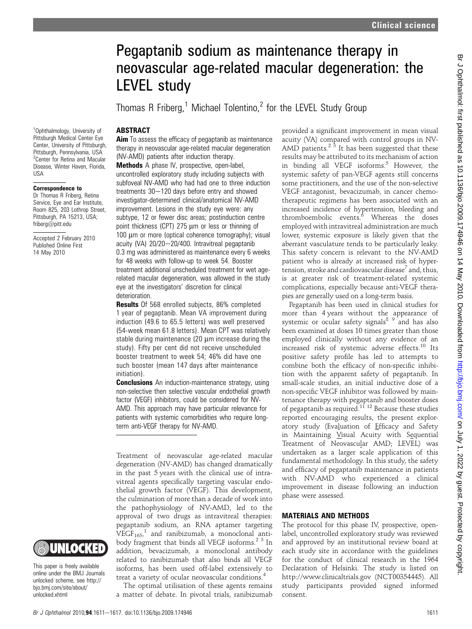# Pegaptanib sodium as maintenance therapy in neovascular age-related macular degeneration: the LEVEL study

Thomas R Friberg,<sup>1</sup> Michael Tolentino,<sup>2</sup> for the LEVEL Study Group

# **ABSTRACT**

<sup>1</sup>Ophthalmology, University of Pittsburgh Medical Center Eye Center, University of Pittsburgh, Pittsburgh, Pennsylvania, USA <sup>2</sup> Center for Retina and Macular Disease, Winter Haven, Florida,

Correspondence to Dr Thomas R Friberg, Retina Service, Eye and Ear Institute, Room 825, 203 Lothrop Street, Pittsburgh, PA 15213, USA; friberg@pitt.edu

Accepted 2 February 2010 Published Online First 14 May 2010

**IISA** 

Aim To assess the efficacy of pegaptanib as maintenance therapy in neovascular age-related macular degeneration (NV-AMD) patients after induction therapy.

Methods A phase IV, prospective, open-label, uncontrolled exploratory study including subjects with subfoveal NV-AMD who had had one to three induction treatments  $30-120$  days before entry and showed investigator-determined clinical/anatomical NV-AMD improvement. Lesions in the study eye were: any subtype, 12 or fewer disc areas; postinduction centre point thickness (CPT) 275 um or less or thinning of 100 um or more (optical coherence tomography); visual acuity (VA)  $20/20-20/400$ . Intravitreal pegaptanib 0.3 mg was administered as maintenance every 6 weeks for 48 weeks with follow-up to week 54. Booster treatment additional unscheduled treatment for wet agerelated macular degeneration, was allowed in the study eye at the investigators' discretion for clinical deterioration.

**Results** Of 568 enrolled subjects, 86% completed 1 year of pegaptanib. Mean VA improvement during induction (49.6 to 65.5 letters) was well preserved (54-week mean 61.8 letters). Mean CPT was relatively stable during maintenance  $(20 \mu m)$  increase during the study). Fifty per cent did not receive unscheduled booster treatment to week 54; 46% did have one such booster (mean 147 days after maintenance initiation).

**Conclusions** An induction-maintenance strategy, using non-selective then selective vascular endothelial growth factor (VEGF) inhibitors, could be considered for NV-AMD. This approach may have particular relevance for patients with systemic comorbidities who require longterm anti-VEGF therapy for NV-AMD.

Treatment of neovascular age-related macular degeneration (NV-AMD) has changed dramatically in the past 5 years with the clinical use of intravitreal agents specifically targeting vascular endothelial growth factor (VEGF). This development, the culmination of more than a decade of work into the pathophysiology of NV-AMD, led to the approval of two drugs as intravitreal therapies: pegaptanib sodium, an RNA aptamer targeting  $VEGF<sub>165</sub>$ , and ranibizumab, a monoclonal antibody fragment that binds all VEGF isoforms.<sup>2 3</sup> In addition, bevacizumab, a monoclonal antibody related to ranibizumab that also binds all VEGF isoforms, has been used off-label extensively to treat a variety of ocular neovascular conditions.<sup>4</sup>

The optimal utilisation of these agents remains a matter of debate. In pivotal trials, ranibizumab provided a significant improvement in mean visual acuity (VA) compared with control groups in NV-AMD patients.<sup>2  $\frac{1}{3}$ </sup> It has been suggested that these results may be attributed to its mechanism of action in binding all VEGF isoforms. $5$  However, the systemic safety of pan-VEGF agents still concerns some practitioners, and the use of the non-selective VEGF antagonist, bevacizumab, in cancer chemotherapeutic regimens has been associated with an increased incidence of hypertension, bleeding and thromboembolic events. $\stackrel{\delta}{\ }$  Whereas the doses employed with intravitreal administration are much lower, systemic exposure is likely given that the aberrant vasculature tends to be particularly leaky. This safety concern is relevant to the NV-AMD patient who is already at increased risk of hypertension, stroke and cardiovascular disease<sup>7</sup> and, thus, is at greater risk of treatment-related systemic complications, especially because anti-VEGF therapies are generally used on a long-term basis.

Pegaptanib has been used in clinical studies for more than 4 years without the appearance of systemic or ocular safety signals<sup>8</sup>  $9 \nmid A$  has also been examined at doses 10 times greater than those employed clinically without any evidence of an increased risk of systemic adverse effects.<sup>10</sup> Its positive safety profile has led to attempts to combine both the efficacy of non-specific inhibition with the apparent safety of pegaptanib. In small-scale studies, an initial inductive dose of a non-specific VEGF inhibitor was followed by maintenance therapy with pegaptanib and booster doses of pegaptanib as required.<sup>11 12</sup> Because these studies reported encouraging results, the present exploratory study (Evaluation of Efficacy and Safety in Maintaining Visual Acuity with Sequential Treatment of Neovascular AMD; LEVEL) was undertaken as a larger scale application of this fundamental methodology. In this study, the safety and efficacy of pegaptanib maintenance in patients with NV-AMD who experienced a clinical improvement in disease following an induction phase were assessed.

## MATERIALS AND METHODS

The protocol for this phase IV, prospective, openlabel, uncontrolled exploratory study was reviewed and approved by an institutional review board at each study site in accordance with the guidelines for the conduct of clinical research in the 1964 Declaration of Helsinki. The study is listed on http://www.clinicaltrials.gov (NCT00354445). All study participants provided signed informed consent.



This paper is freely available online under the BMJ Journals unlocked scheme, see http:// bjo.bmj.com/site/about/ unlocked.xhtml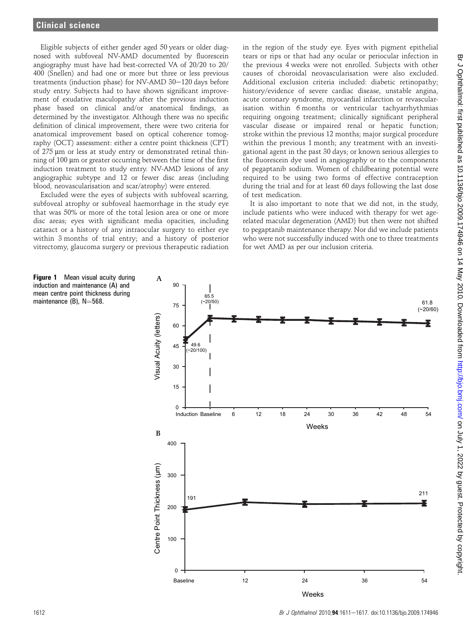Eligible subjects of either gender aged 50 years or older diagnosed with subfoveal NV-AMD documented by fluorescein angiography must have had best-corrected VA of 20/20 to 20/ 400 (Snellen) and had one or more but three or less previous treatments (induction phase) for NV-AMD 30-120 days before study entry. Subjects had to have shown significant improvement of exudative maculopathy after the previous induction phase based on clinical and/or anatomical findings, as determined by the investigator. Although there was no specific definition of clinical improvement, there were two criteria for anatomical improvement based on optical coherence tomography (OCT) assessment: either a centre point thickness (CPT) of 275 µm or less at study entry or demonstrated retinal thinning of 100 µm or greater occurring between the time of the first induction treatment to study entry. NV-AMD lesions of any angiographic subtype and 12 or fewer disc areas (including blood, neovascularisation and scar/atrophy) were entered.

Excluded were the eyes of subjects with subfoveal scarring, subfoveal atrophy or subfoveal haemorrhage in the study eye that was 50% or more of the total lesion area or one or more disc areas; eyes with significant media opacities, including cataract or a history of any intraocular surgery to either eye within 3 months of trial entry; and a history of posterior vitrectomy, glaucoma surgery or previous therapeutic radiation

in the region of the study eye. Eyes with pigment epithelial tears or rips or that had any ocular or periocular infection in the previous 4 weeks were not enrolled. Subjects with other causes of choroidal neovascularisation were also excluded. Additional exclusion criteria included: diabetic retinopathy; history/evidence of severe cardiac disease, unstable angina, acute coronary syndrome, myocardial infarction or revascularisation within 6 months or ventricular tachyarrhythmias requiring ongoing treatment; clinically significant peripheral vascular disease or impaired renal or hepatic function; stroke within the previous 12 months; major surgical procedure within the previous 1 month; any treatment with an investigational agent in the past 30 days; or known serious allergies to the fluorescein dye used in angiography or to the components of pegaptanib sodium. Women of childbearing potential were required to be using two forms of effective contraception during the trial and for at least 60 days following the last dose of test medication.

It is also important to note that we did not, in the study, include patients who were induced with therapy for wet agerelated macular degeneration (AMD) but then were not shifted to pegaptanib maintenance therapy. Nor did we include patients who were not successfully induced with one to three treatments for wet AMD as per our inclusion criteria.

Figure 1 Mean visual acuity during induction and maintenance (A) and mean centre point thickness during maintenance  $(B)$ , N=568.

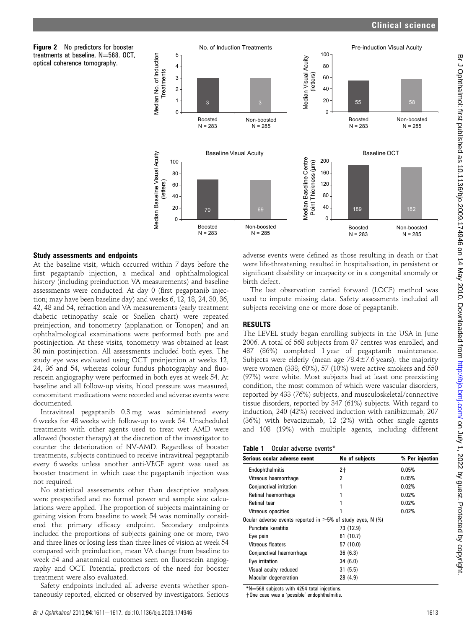# Clinical science





## Study assessments and endpoints

At the baseline visit, which occurred within 7 days before the first pegaptanib injection, a medical and ophthalmological history (including preinduction VA measurements) and baseline assessments were conducted. At day 0 (first pegaptanib injection; may have been baseline day) and weeks 6, 12, 18, 24, 30, 36, 42, 48 and 54, refraction and VA measurements (early treatment diabetic retinopathy scale or Snellen chart) were repeated preinjection, and tonometry (applanation or Tonopen) and an ophthalmological examinations were performed both pre and postinjection. At these visits, tonometry was obtained at least 30 min postinjection. All assessments included both eyes. The study eye was evaluated using OCT preinjection at weeks 12, 24, 36 and 54, whereas colour fundus photography and fluorescein angiography were performed in both eyes at week 54. At baseline and all follow-up visits, blood pressure was measured, concomitant medications were recorded and adverse events were documented.

Intravitreal pegaptanib 0.3 mg was administered every 6 weeks for 48 weeks with follow-up to week 54. Unscheduled treatments with other agents used to treat wet AMD were allowed (booster therapy) at the discretion of the investigator to counter the deterioration of NV-AMD. Regardless of booster treatments, subjects continued to receive intravitreal pegaptanib every 6 weeks unless another anti-VEGF agent was used as booster treatment in which case the pegaptanib injection was not required.

No statistical assessments other than descriptive analyses were prespecified and no formal power and sample size calculations were applied. The proportion of subjects maintaining or gaining vision from baseline to week 54 was nominally considered the primary efficacy endpoint. Secondary endpoints included the proportions of subjects gaining one or more, two and three lines or losing less than three lines of vision at week 54 compared with preinduction, mean VA change from baseline to week 54 and anatomical outcomes seen on fluorescein angiography and OCT. Potential predictors of the need for booster treatment were also evaluated.

Safety endpoints included all adverse events whether spontaneously reported, elicited or observed by investigators. Serious adverse events were defined as those resulting in death or that were life-threatening, resulted in hospitalisation, in persistent or significant disability or incapacity or in a congenital anomaly or birth defect.

The last observation carried forward (LOCF) method was used to impute missing data. Safety assessments included all subjects receiving one or more dose of pegaptanib.

# RESULTS

The LEVEL study began enrolling subjects in the USA in June 2006. A total of 568 subjects from 87 centres was enrolled, and 487 (86%) completed 1 year of pegaptanib maintenance. Subjects were elderly (mean age  $78.4 \pm 7.6$  years), the majority were women (338; 60%), 57 (10%) were active smokers and 550 (97%) were white. Most subjects had at least one preexisting condition, the most common of which were vascular disorders, reported by 433 (76%) subjects, and musculoskeletal/connective tissue disorders, reported by 347 (61%) subjects. With regard to induction, 240 (42%) received induction with ranibizumab, 207 (36%) with bevacizumab, 12 (2%) with other single agents and 108 (19%) with multiple agents, including different

| Table 1 Ocular adverse events* |
|--------------------------------|
|                                |

| Serious ocular adverse event                                     | No of subjects | % Per injection |
|------------------------------------------------------------------|----------------|-----------------|
| Endophthalmitis                                                  | $2+$           | 0.05%           |
| Vitreous haemorrhage                                             | 2              | 0.05%           |
| Conjunctival irritation                                          |                | 0.02%           |
| Retinal haemorrhage                                              |                | 0.02%           |
| <b>Retinal tear</b>                                              |                | 0.02%           |
| Vitreous opacities                                               |                | 0.02%           |
| Ocular adverse events reported in $\geq$ 5% of study eyes, N (%) |                |                 |
| Punctate keratitis                                               | 73 (12.9)      |                 |
| Eye pain                                                         | 61 (10.7)      |                 |
| Vitreous floaters                                                | 57 (10.0)      |                 |
| Conjunctival haemorrhage                                         | 36(6.3)        |                 |
| Eye irritation                                                   | 34(6.0)        |                 |
| Visual acuity reduced                                            | 31(5.5)        |                 |
| Macular degeneration                                             | 28 (4.9)       |                 |

 $N=568$  subjects with 4254 total injections.

t One case was a 'possible' endophthalmitis.

Br J Ophthalmol 2010;94:1611-1617. doi:10.1136/bjo.2009.174946 1613

Br Johnalmol: first published as 10.1136/bjo.2009.174946 on 14 May 2010. Downloaded from <http://bjo.bmj.com/> on July 1, 2022 by guest. Protected by copyright.

Br J Ophhalmol: first published as 10.1136/bjo.2009.174946 on 14 May 2010. Downloaded from http://bjo.bmj.com/ on July 1, 2022 by guest. Protected by copyright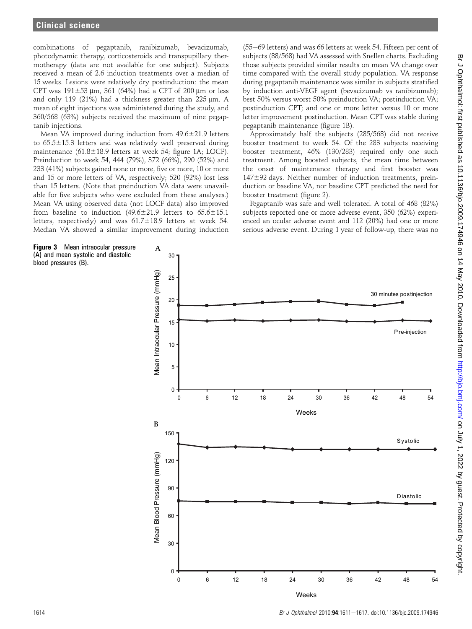combinations of pegaptanib, ranibizumab, bevacizumab, photodynamic therapy, corticosteroids and transpupillary thermotherapy (data are not available for one subject). Subjects received a mean of 2.6 induction treatments over a median of 15 weeks. Lesions were relatively dry postinduction: the mean CPT was  $191\pm53$  µm, 361 (64%) had a CPT of 200 µm or less and only 119 (21%) had a thickness greater than  $225 \mu m$ . A mean of eight injections was administered during the study, and 360/568 (63%) subjects received the maximum of nine pegaptanib injections.

Mean VA improved during induction from  $49.6 \pm 21.9$  letters to  $65.5\pm15.3$  letters and was relatively well preserved during maintenance (61.8 $\pm$ 18.9 letters at week 54; figure 1A; LOCF). Preinduction to week 54, 444 (79%), 372 (66%), 290 (52%) and 233 (41%) subjects gained none or more, five or more, 10 or more and 15 or more letters of VA, respectively; 520 (92%) lost less than 15 letters. (Note that preinduction VA data were unavailable for five subjects who were excluded from these analyses.) Mean VA using observed data (not LOCF data) also improved from baseline to induction (49.6 $\pm$ 21.9 letters to 65.6 $\pm$ 15.1 letters, respectively) and was  $61.7\pm18.9$  letters at week 54. Median VA showed a similar improvement during induction

Figure 3 Mean intraocular pressure (A) and mean systolic and diastolic blood pressures (B).

 $(55-69$  letters) and was 66 letters at week 54. Fifteen per cent of subjects (88/568) had VA assessed with Snellen charts. Excluding those subjects provided similar results on mean VA change over time compared with the overall study population. VA response during pegaptanib maintenance was similar in subjects stratified by induction anti-VEGF agent (bevacizumab vs ranibizumab); best 50% versus worst 50% preinduction VA; postinduction VA; postinduction CPT; and one or more letter versus 10 or more letter improvement postinduction. Mean CPT was stable during pegaptanib maintenance (figure 1B).

Approximately half the subjects (285/568) did not receive booster treatment to week 54. Of the 283 subjects receiving booster treatment, 46% (130/283) required only one such treatment. Among boosted subjects, the mean time between the onset of maintenance therapy and first booster was  $147\pm92$  days. Neither number of induction treatments, preinduction or baseline VA, nor baseline CPT predicted the need for booster treatment (figure 2).

Pegaptanib was safe and well tolerated. A total of 468 (82%) subjects reported one or more adverse event, 350 (62%) experienced an ocular adverse event and 112 (20%) had one or more serious adverse event. During 1 year of follow-up, there was no

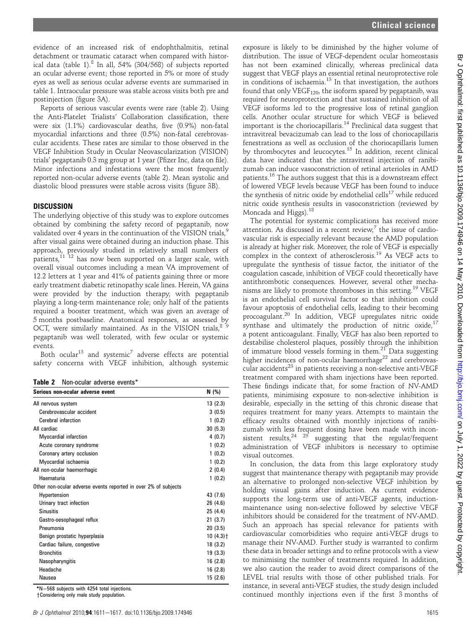evidence of an increased risk of endophthalmitis, retinal detachment or traumatic cataract when compared with historical data (table 1).<sup>8</sup> In all, 54% (304/568) of subjects reported an ocular adverse event; those reported in 5% or more of study eyes as well as serious ocular adverse events are summarised in table 1. Intraocular pressure was stable across visits both pre and postinjection (figure 3A).

Reports of serious vascular events were rare (table 2). Using the Anti-Platelet Trialists' Collaboration classification, there were six (1.1%) cardiovascular deaths, five (0.9%) non-fatal myocardial infarctions and three (0.5%) non-fatal cerebrovascular accidents. These rates are similar to those observed in the VEGF Inhibition Study in Ocular Neovascularization (VISION) trials' pegaptanib 0.3 mg group at 1 year (Pfizer Inc, data on file). Minor infections and infestations were the most frequently reported non-ocular adverse events (table 2). Mean systolic and diastolic blood pressures were stable across visits (figure 3B).

## **DISCUSSION**

The underlying objective of this study was to explore outcomes obtained by combining the safety record of pegaptanib, now validated over 4 years in the continuation of the VISION trials,<sup>9</sup> after visual gains were obtained during an induction phase. This approach, previously studied in relatively small numbers of patients,11 12 has now been supported on a larger scale, with overall visual outcomes including a mean VA improvement of 12.2 letters at 1 year and 41% of patients gaining three or more early treatment diabetic retinopathy scale lines. Herein, VA gains were provided by the induction therapy, with pegaptanib playing a long-term maintenance role; only half of the patients required a booster treatment, which was given an average of 5 months postbaseline. Anatomical responses, as assessed by OCT, were similarly maintained. As in the VISION trials,  $89$ pegaptanib was well tolerated, with few ocular or systemic events.

Both ocular<sup>13</sup> and systemic<sup>7</sup> adverse effects are potential safety concerns with VEGF inhibition, although systemic

Table 2 Non-ocular adverse events\*

| Serious non-ocular adverse event                                | N (%)                  |
|-----------------------------------------------------------------|------------------------|
| All nervous system                                              | 13(2.3)                |
| Cerebrovascular accident                                        | 3(0.5)                 |
| Cerebral infarction                                             | 1(0.2)                 |
| All cardiac                                                     | 30(5.3)                |
| Myocardial infarction                                           | 4(0.7)                 |
| Acute coronary syndrome                                         | 1(0.2)                 |
| Coronary artery occlusion                                       | 1(0.2)                 |
| Myocardial ischaemia                                            | 1(0.2)                 |
| All non-ocular haemorrhagic                                     | 2(0.4)                 |
| Haematuria                                                      | 1(0.2)                 |
| Other non-ocular adverse events reported in over 2% of subjects |                        |
| Hypertension                                                    | 43 (7.6)               |
| Urinary tract infection                                         | 26 (4.6)               |
| <b>Sinusitis</b>                                                | 25 (4.4)               |
| Gastro-oesophageal reflux                                       | 21(3.7)                |
| Pneumonia                                                       | 20(3.5)                |
| Benign prostatic hyperplasia                                    | $10(4.3)$ <sup>+</sup> |
| Cardiac failure, congestive                                     | 18(3.2)                |
| <b>Bronchitis</b>                                               | 19(3.3)                |
| Nasopharyngitis                                                 | 16(2.8)                |
| Headache                                                        | 16(2.8)                |
| Nausea                                                          | 15(2.6)                |

\*N=568 subjects with 4254 total injections.

+Considering only male study population.

exposure is likely to be diminished by the higher volume of distribution. The issue of VEGF-dependent ocular homeostasis has not been examined clinically, whereas preclinical data suggest that VEGF plays an essential retinal neuroprotective role in conditions of ischaemia.<sup>13</sup> In that investigation, the authors found that only  $VEGF_{120}$ , the isoform spared by pegaptanib, was required for neuroprotection and that sustained inhibition of all VEGF isoforms led to the progressive loss of retinal ganglion cells. Another ocular structure for which VEGF is believed important is the choriocapillaris.<sup>14</sup> Preclinical data suggest that intravitreal bevacizumab can lead to the loss of choriocapillaris fenestrations as well as occlusion of the choriocapillaris lumen by thrombocytes and leucocytes.<sup>15</sup> In addition, recent clinical data have indicated that the intravitreal injection of ranibizumab can induce vasoconstriction of retinal arterioles in AMD patients.<sup>16</sup> The authors suggest that this is a downstream effect of lowered VEGF levels because VEGF has been found to induce the synthesis of nitric oxide by endothelial cells<sup>17</sup> while reduced nitric oxide synthesis results in vasoconstriction (reviewed by Moncada and Higgs).<sup>18</sup>

The potential for systemic complications has received more attention. As discussed in a recent review, $^7$  the issue of cardiovascular risk is especially relevant because the AMD population is already at higher risk. Moreover, the role of VEGF is especially complex in the context of atherosclerosis.<sup>19</sup> As VEGF acts to upregulate the synthesis of tissue factor, the initiator of the coagulation cascade, inhibition of VEGF could theoretically have antithrombotic consequences. However, several other mechanisms are likely to promote thromboses in this setting.<sup>19</sup> VEGF is an endothelial cell survival factor so that inhibition could favour apoptosis of endothelial cells, leading to their becoming procoagulant.<sup>20</sup> In addition, VEGF upregulates nitric oxide synthase and ultimately the production of nitric oxide, $17$ a potent anticoagulant. Finally, VEGF has also been reported to destabilise cholesterol plaques, possibly through the inhibition of immature blood vessels forming in them.<sup>21</sup> Data suggesting higher incidences of non-ocular haemorrhage<sup>22</sup> and cerebrovascular accidents<sup>23</sup> in patients receiving a non-selective anti-VEGF treatment compared with sham injections have been reported. These findings indicate that, for some fraction of NV-AMD patients, minimising exposure to non-selective inhibition is desirable, especially in the setting of this chronic disease that requires treatment for many years. Attempts to maintain the efficacy results obtained with monthly injections of ranibizumab with less frequent dosing have been made with inconsistent results,  $24$   $25$  suggesting that the regular/frequent administration of VEGF inhibitors is necessary to optimise visual outcomes.

In conclusion, the data from this large exploratory study suggest that maintenance therapy with pegaptanib may provide an alternative to prolonged non-selective VEGF inhibition by holding visual gains after induction. As current evidence supports the long-term use of anti-VEGF agents, inductionmaintenance using non-selective followed by selective VEGF inhibitors should be considered for the treatment of NV-AMD. Such an approach has special relevance for patients with cardiovascular comorbidities who require anti-VEGF drugs to manage their NV-AMD. Further study is warranted to confirm these data in broader settings and to refine protocols with a view to minimising the number of treatments required. In addition, we also caution the reader to avoid direct comparisons of the LEVEL trial results with those of other published trials. For instance, in several anti-VEGF studies, the study design included continued monthly injections even if the first 3 months of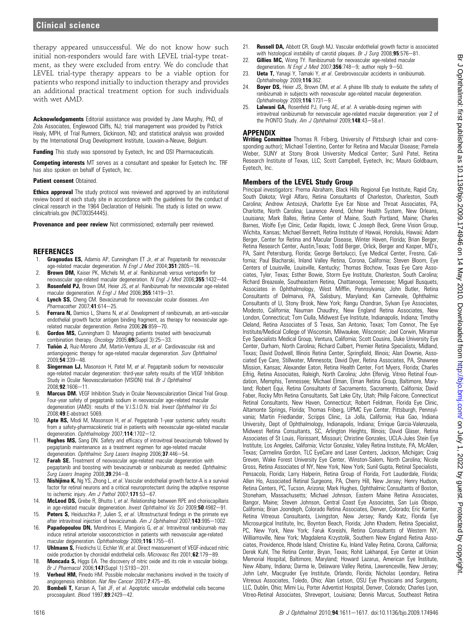therapy appeared unsuccessful. We do not know how such initial non-responders would fare with LEVEL trial-type treatment, as they were excluded from entry. We do conclude that LEVEL trial-type therapy appears to be a viable option for patients who respond initially to induction therapy and provides an additional practical treatment option for such individuals with wet AMD.

Acknowledgements Editorial assistance was provided by Jane Murphy, PhD, of Zola Associates, Englewood Cliffs, NJ; trial management was provided by Patrick Healy, MPH, of Trial Runners, Dickinson, ND; and statistical analysis was provided by the International Drug Development Institute, Louvain-a-Neuve, Belgium.

Funding This study was sponsored by Eyetech, Inc and OSI Pharmaceuticals.

Competing interests MT serves as a consultant and speaker for Eyetech Inc. TRF has also spoken on behalf of Eyetech, Inc.

#### Patient consent Obtained.

**Ethics approval** The study protocol was reviewed and approved by an institutional review board at each study site in accordance with the guidelines for the conduct of clinical research in the 1964 Declaration of Helsinki. The study is listed on www. clinicaltrials.gov (NCT00354445).

Provenance and peer review Not commissioned; externally peer reviewed.

#### **REFERENCES**

- 1. Gragoudas ES, Adamis AP, Cunningham ET Jr, et al. Pegaptanib for neovascular age-related macular degeneration. N Engl J Med 2004;351:2805-16.
- 2. **Brown DM,** Kaiser PK, Michels M, et al. Ranibizumab versus verteporfin for neovascular age-related macular degeneration. N Engl J Med 2006;355:1432-44.
- 3. Rosenfeld PJ, Brown DM, Heier JS, et al. Ranibizumab for neovascular age-related macular degeneration. N Engl J Med 2006;355:1419-31.
- Lynch SS, Cheng CM. Bevacizumab for neovascular ocular diseases. Ann  $P$ harmacother 2007;41:614-25.
- 5. Ferrara N, Damico L, Shams N, et al. Development of ranibizumab, an anti-vascular endothelial growth factor antigen binding fragment, as therapy for neovascular agerelated macular degeneration. Retina 2006;26:859-70.
- 6. Gordon MS, Cunningham D. Managing patients treated with bevacizumab combination therapy. Oncology 2005;69(Suppl 3):25-33.
- 7. Tuñón J, Ruiz-Moreno JM, Martin-Ventura JL, et al. Cardiovascular risk and antiangiogenic therapy for age-related macular degeneration. Surv Ophthalmol  $2009.54.339 - 48.$
- Singerman LJ, Masonson H, Patel M, et al. Pegaptanib sodium for neovascular age-related macular degeneration: third-year safety results of the VEGF Inhibition Study in Ocular Neovascularisation (VISION) trial. Br J Ophthalmol  $2008:92:1606 - 11$
- 9. Marcus DM. VEGF Inhibition Study in Ocular Neovascularization Clinical Trial Group. Four-year safety of pegaptanib sodium in neovascular age-related macular degeneration (AMD): results of the V.I.S.I.O.N. trial. Invest Ophthalmol Vis Sci 2008;49:E-abstract 5069.
- 10. **Apte RS,** Modi M, Masonson H, et al. Pegaptanib 1-year systemic safety results from a safety-pharmacokinetic trial in patients with neovascular age-related macular degeneration. Ophthalmology 2007;114:1702-12.
- 11. **Hughes MS,** Sang DN. Safety and efficacy of intravitreal bevacizumab followed by pegaptanib maintenance as a treatment regimen for age-related macular degeneration. Ophthalmic Surg Lasers Imaging 2006;37:446-54.
- 12. Farah SE. Treatment of neovascular age-related macular degeneration with pegaptanib and boosting with bevacizumab or ranibizumab as needed. Ophthalmic Surg Lasers Imaging  $2008; 39:294-8$ .
- 13. Nishijima K, Ng YS, Zhong L, et al. Vascular endothelial growth factor-A is a survival factor for retinal neurons and a critical neuroprotectant during the adaptive response to ischemic injury. Am J Pathol  $2007;$ 171:53-67.
- 14. **McLeod DS, Grebe R, Bhutto I, et al. Relationship between RPE and choriocapillaris** in age-related macular degeneration. Invest Ophthalmol Vis Sci 2009;50:4982-91.
- 15. **Peters S.** Heiduschka P. Julien S. et al. Ultrastructural findings in the primate eye after intravitreal injection of bevacizumab. Am J Ophthalmol 2007;143:995-1002.
- 16. Papadopoulou DN, Mendrinos E, Mangioris G, et al. Intravitreal ranibizumab may induce retinal arteriolar vasoconstriction in patients with neovascular age-related macular degeneration. Ophthalmology 2009;116:1755-61.
- 17. **Uhlmann S,** Friedrichs U, Eichler W, et al. Direct measurement of VEGF-induced nitric oxide production by choroidal endothelial cells. Microvasc Res  $2001;62:179-89$ .
- 18. Moncada S, Higgs EA. The discovery of nitric oxide and its role in vascular biology. Br J Pharmacol 2006;147(Suppl 1):S193-201.
- 19. Verheul HM, Pinedo HM. Possible molecular mechanisms involved in the toxicity of angiogenesis inhibition. Nat Rev Cancer 2007:7:475-85.
- 20. Bombeli T, Karsan A, Tait JF, et al. Apoptotic vascular endothelial cells become procoagulant.  $Blood$  1997; $89:2429-42$ .
- 21. **Russell DA**, Abbott CR, Gough MJ. Vascular endothelial growth factor is associated with histological instability of carotid plaques. Br J Surg 2008; 95:576-81.
- 22. **Gillies MC, Wong TY. Ranibizumab for neovascular age-related macular** degeneration. N Engl J Med 2007;356:748-9; author reply 9-50.
- 23. Ueta T, Yanagi Y, Tamaki Y, et al. Cerebrovascular accidents in ranibizumab. Ophthalmology 2009;116:362.
- 24. **Boyer DS,** Heier JS, Brown DM, et al. A phase IIIb study to evaluate the safety of ranibizumab in subjects with neovascular age-related macular degeneration. Ophthalmology 2009;116:1731-9.
- Lalwani GA, Rosenfeld PJ, Fung AE, et al. A variable-dosing regimen with intravitreal ranibizumab for neovascular age-related macular degeneration: year 2 of the PrONTO Study. Am J Ophthalmol 2009;148:43-58.e1.

#### APPENDIX

Writing Committee Thomas R. Friberg, University of Pittsburgh (chair and corresponding author); Michael Tolentino, Center for Retina and Macular Disease; Pamela Weber, SUNY at Stony Brook University Medical Center; Sunil Patel, Retina Research Institute of Texas, LLC; Scott Campbell, Eyetech, Inc; Mauro Goldbaum, Eyetech, Inc.

#### Members of the LEVEL Study Group

Principal investigators: Prema Abraham, Black Hills Regional Eye Institute, Rapid City, South Dakota; Virgil Alfaro, Retina Consultants of Charleston, Charleston, South Carolina; Andrew Antoszyk, Charlotte Eye Ear Nose and Throat Associates, PA, Charlotte, North Carolina; Laurence Arend, Ochner Health System, New Orleans, Louisiana; Mark Balles, Retina Center of Maine, South Portland, Maine; Charles Barnes, Wolfe Eye Clinic, Cedar Rapids, Iowa; C Joseph Beck, Grene Vision Group, Wichita, Kansas; Michael Bennett, Retina Institute of Hawaii, Honolulu, Hawaii; Adam Berger, Center for Retina and Macular Disease, Winter Haven, Florida; Brian Berger, Retina Research Center, Austin,Texas; Todd Berger, Orlick, Berger and Kasper, MD's, PA, Saint Petersburg, Florida; George Bertolucci, Eye Medical Center, Fresno, California; Paul Blacharski, Inland Valley Retina, Corona, California; Steven Bloom, Eye Centers of Louisville, Louisville, Kentucky; Thomas Bochow, Texas Eye Care Associates, Tyler, Texas; Esther Bowie, Storm Eye Institute, Charleston, South Carolina; Richard Breazeale, Southeastern Retina, Chattanooga, Tennessee; Miguel Busquets, Associates in Ophthalmology, West Mifflin, Pennsylvania; John Butler, Retina Consultants of Delmarva, PA, Salisbury, Maryland; Ken Carnevale, Ophthalmic Consultants of LI, Stony Brook, New York; Rangu Chandran, Sylvan Eye Associates, Modesto, California; Nauman Chaudhry, New England Retina Associates, New London, Connecticut; Tom Ciulla, Midwest Eye Institute, Indianapolis, Indiana; Timothy Cleland, Retina Associates of S Texas, San Antonio, Texas; Tom Connor, The Eye Institute/Medical College of Wisconsin, Milwaukee, Wisconsin; Joel Corwin, Miramar Eye Specialists Medical Group, Ventura, California; Scott Cousins, Duke University Eye Center, Durham, North Carolina; Richard Culbert, Premier Retina Specialists, Midland, Texas; David Dodwell, Illinois Retina Center, Springfield, Illinois; Alan Downie, Associated Eye Care, Stillwater, Minnesota; David Dyer, Retina Associates, PA, Shawnee Mission, Kansas; Alexander Eaton, Retina Health Center, Fort Myers, Florida; Charles Eifrig, Retina Associates, Raleigh, North Carolina; John Elfervig, Vitreo Retinal Foundation, Memphis, Tennessee; Michael Elman, Elman Retina Group, Baltimore, Maryland; Robert Equi, Retina Consultants of Sacramento, Sacramento, California; David Faber, Rocky Mtn Retina Consultants, Salt Lake City, Utah; Philip Falcone, Connecticut Retinal Consultants, New Haven, Connecticut; Robert Feldman, Florida Eye Clinic, Altamonte Springs, Florida; Thomas Friberg, UPMC Eye Center, Pittsburgh, Pennsylvania; Martin Friedlander, Scripps Clinic, La Jolla, California; Hua Gao, Indiana University, Dept of Ophthalmology, Indianapolis, Indiana; Enrique Garcia-Valenzuela, Midwest Retina Consultants, SC, Arlington Heights, Illinois; David Glaser, Retina Associates of St Louis, Florissant, Missouri; Christine Gonzales, UCLA-Jules Stein Eye Institute, Los Angeles, California; Victor Gonzalez, Valley Retina Institute, PA, McAllen, Texas; Carmelina Gordon, TLC EyeCare and Laser Centers, Jackson, Michigan; Craig Greven, Wake Forest University Eye Center, Winston-Salem, North Carolina; Nicole Gross, Retina Associates of NY, New York, New York; Sunil Gupta, Retinal Specialists, Pensacola, Florida; Larry Halperin, Retina Group of Florida, Fort Lauderdale, Florida; Allen Ho, Associated Retinal Surgeons, PA, Cherry Hill, New Jersey; Henry Hudson, Retina Centers, PC, Tucson, Arizona; Mark Hughes, Ophthalmic Consultants of Boston, Stoneham, Massachusetts; Michael Johnson, Eastern Maine Retina Associates, Bangor, Maine; Steven Johnson, Central Coast Eye Associates, San Luis Obispo, California; Brian Joondeph, Colorado Retina Associates, Denver, Colorado; Eric Kanter, Retina Vitreous Consultants, Livingston, New Jersey; Randy Katz, Florida Eye Microsurgical Institute, Inc, Boynton Beach, Florida; John Khadem, Retina Specialist, PC, New York, New York; Faruk Koreishi, Retina Consultants of Western NY, Williamsville, New York; Magdalena Krzystolik, Southern New England Retina Associates, Providence, Rhode Island; Christine Ku, Inland Valley Retina, Corona, California; Derek Kuhl, The Retina Center, Bryan, Texas; Rohit Lakhanpal, Eye Center at Union Memorial Hospital, Baltimore, Maryland; Howard Lazarus, American Eye Institute, New Albany, Indiana; Darma le, Delaware Valley Retina, Lawrenceville, New Jersey; John Lehr, Macgruder Eye Institute, Orlando, Florida; Nicholas Leondary, Retina Vitreous Associates, Toledo, Ohio; Alan Letson, OSU Eye Physicians and Surgeons, LLC, Dublin, Ohio; Mimi Liu, Porter Adventist Hospital, Denver, Colorado; Charles Lyon, Vitreo-Retinal Associates, Shreveport, Louisiana; Dennis Marcus, Southeast Retina